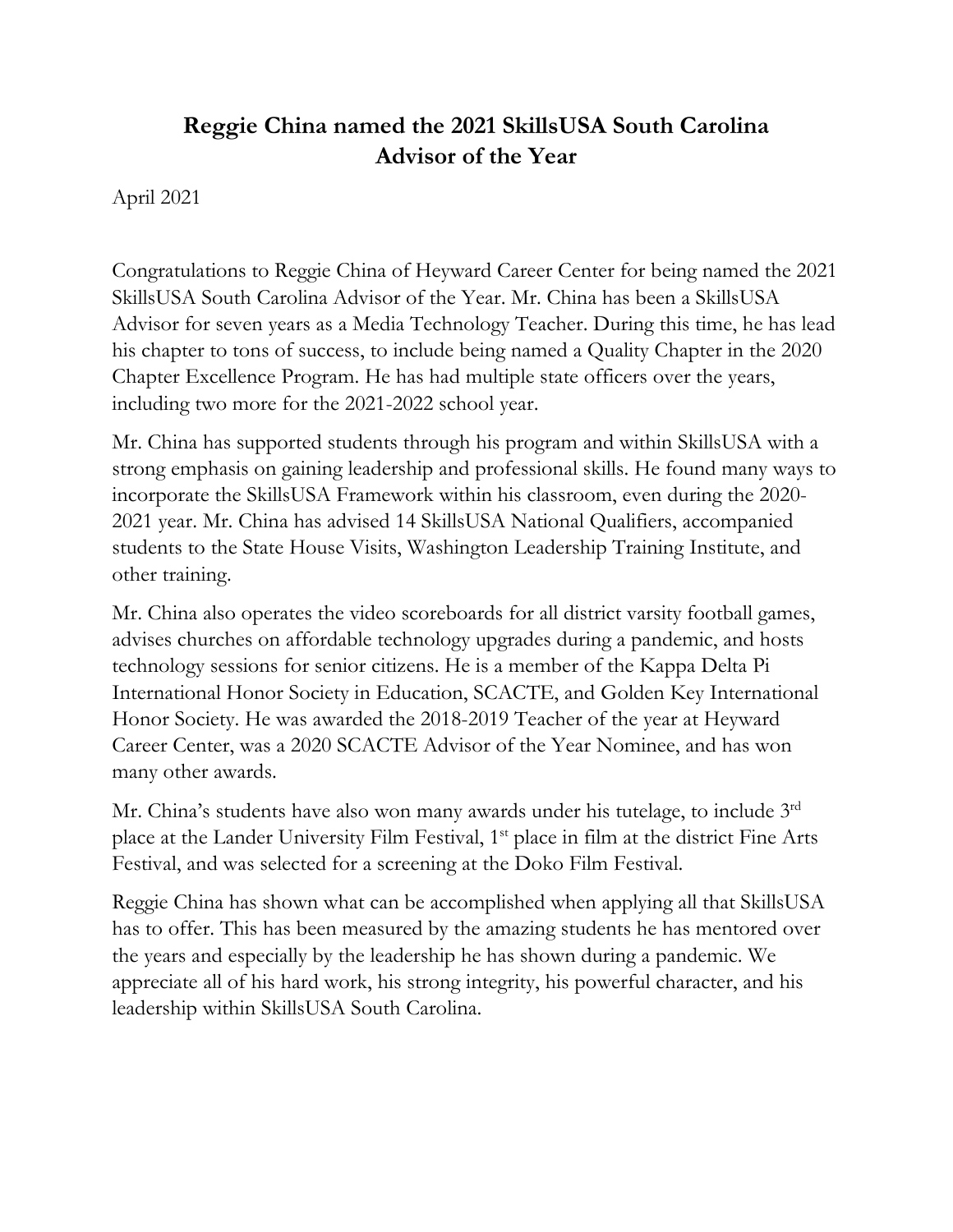## **Reggie China named the 2021 SkillsUSA South Carolina Advisor of the Year**

April 2021

Congratulations to Reggie China of Heyward Career Center for being named the 2021 SkillsUSA South Carolina Advisor of the Year. Mr. China has been a SkillsUSA Advisor for seven years as a Media Technology Teacher. During this time, he has lead his chapter to tons of success, to include being named a Quality Chapter in the 2020 Chapter Excellence Program. He has had multiple state officers over the years, including two more for the 2021-2022 school year.

Mr. China has supported students through his program and within SkillsUSA with a strong emphasis on gaining leadership and professional skills. He found many ways to incorporate the SkillsUSA Framework within his classroom, even during the 2020- 2021 year. Mr. China has advised 14 SkillsUSA National Qualifiers, accompanied students to the State House Visits, Washington Leadership Training Institute, and other training.

Mr. China also operates the video scoreboards for all district varsity football games, advises churches on affordable technology upgrades during a pandemic, and hosts technology sessions for senior citizens. He is a member of the Kappa Delta Pi International Honor Society in Education, SCACTE, and Golden Key International Honor Society. He was awarded the 2018-2019 Teacher of the year at Heyward Career Center, was a 2020 SCACTE Advisor of the Year Nominee, and has won many other awards.

Mr. China's students have also won many awards under his tutelage, to include 3<sup>rd</sup> place at the Lander University Film Festival, 1st place in film at the district Fine Arts Festival, and was selected for a screening at the Doko Film Festival.

Reggie China has shown what can be accomplished when applying all that SkillsUSA has to offer. This has been measured by the amazing students he has mentored over the years and especially by the leadership he has shown during a pandemic. We appreciate all of his hard work, his strong integrity, his powerful character, and his leadership within SkillsUSA South Carolina.